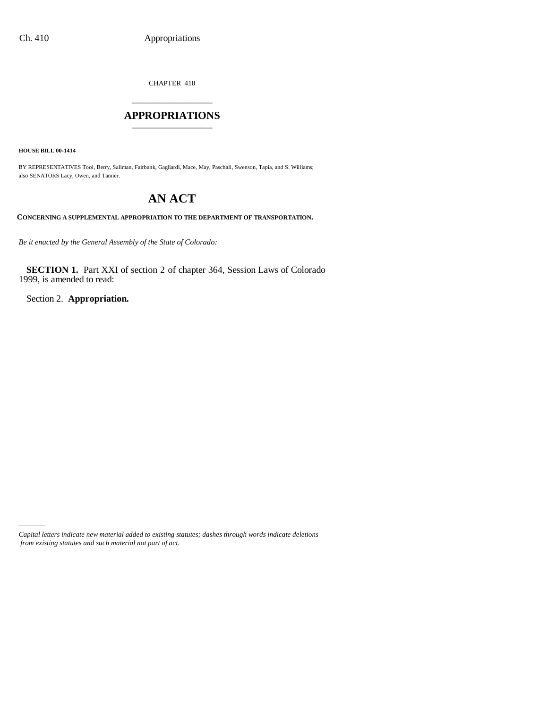CHAPTER 410 \_\_\_\_\_\_\_\_\_\_\_\_\_\_\_

### **APPROPRIATIONS** \_\_\_\_\_\_\_\_\_\_\_\_\_\_\_

**HOUSE BILL 00-1414**

BY REPRESENTATIVES Tool, Berry, Saliman, Fairbank, Gagliardi, Mace, May, Paschall, Swenson, Tapia, and S. Williams; also SENATORS Lacy, Owen, and Tanner.

# **AN ACT**

**CONCERNING A SUPPLEMENTAL APPROPRIATION TO THE DEPARTMENT OF TRANSPORTATION.**

*Be it enacted by the General Assembly of the State of Colorado:*

**SECTION 1.** Part XXI of section 2 of chapter 364, Session Laws of Colorado 1999, is amended to read:

Section 2. **Appropriation.**

*Capital letters indicate new material added to existing statutes; dashes through words indicate deletions from existing statutes and such material not part of act.*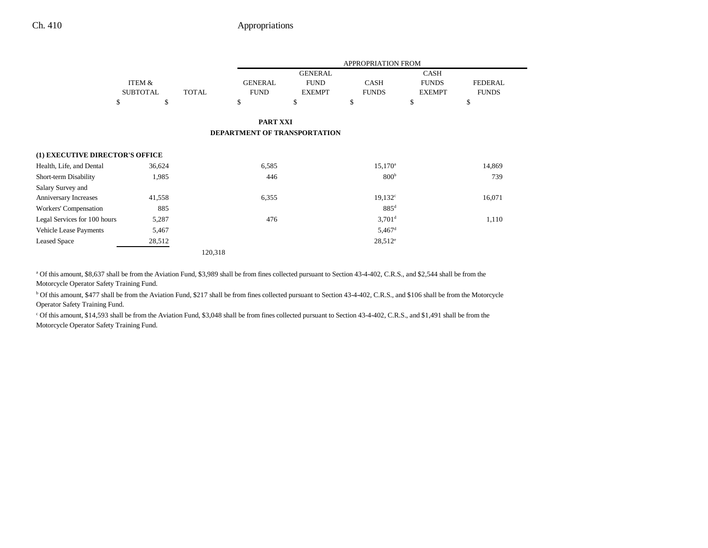## Ch. 410 Appropriations

|                                 |                 |              | <b>APPROPRIATION FROM</b>           |                |                      |               |                |
|---------------------------------|-----------------|--------------|-------------------------------------|----------------|----------------------|---------------|----------------|
|                                 |                 |              |                                     | <b>GENERAL</b> |                      | <b>CASH</b>   |                |
|                                 | ITEM &          |              | <b>GENERAL</b>                      | <b>FUND</b>    | <b>CASH</b>          | <b>FUNDS</b>  | <b>FEDERAL</b> |
|                                 | <b>SUBTOTAL</b> | <b>TOTAL</b> | <b>FUND</b>                         | <b>EXEMPT</b>  | <b>FUNDS</b>         | <b>EXEMPT</b> | <b>FUNDS</b>   |
|                                 | \$<br>\$        |              | \$                                  | \$             | \$                   | \$            | \$             |
|                                 |                 |              | PART XXI                            |                |                      |               |                |
|                                 |                 |              | <b>DEPARTMENT OF TRANSPORTATION</b> |                |                      |               |                |
| (1) EXECUTIVE DIRECTOR'S OFFICE |                 |              |                                     |                |                      |               |                |
| Health, Life, and Dental        | 36,624          |              | 6,585                               |                | $15,170^a$           |               | 14,869         |
| Short-term Disability           | 1,985           |              | 446                                 |                | 800 <sup>b</sup>     |               | 739            |
| Salary Survey and               |                 |              |                                     |                |                      |               |                |
| Anniversary Increases           | 41,558          |              | 6,355                               |                | $19,132^c$           |               | 16,071         |
| Workers' Compensation           | 885             |              |                                     |                | $885$ <sup>d</sup>   |               |                |
| Legal Services for 100 hours    | 5,287           |              | 476                                 |                | $3,701$ <sup>d</sup> |               | 1,110          |
| <b>Vehicle Lease Payments</b>   | 5,467           |              |                                     |                | $5,467$ <sup>d</sup> |               |                |
| <b>Leased Space</b>             | 28,512          |              |                                     |                | $28,512^e$           |               |                |
|                                 |                 | 120,318      |                                     |                |                      |               |                |

<sup>a</sup> Of this amount, \$8,637 shall be from the Aviation Fund, \$3,989 shall be from fines collected pursuant to Section 43-4-402, C.R.S., and \$2,544 shall be from the

Motorcycle Operator Safety Training Fund.

<sup>b</sup> Of this amount, \$477 shall be from the Aviation Fund, \$217 shall be from fines collected pursuant to Section 43-4-402, C.R.S., and \$106 shall be from the Motorcycle Operator Safety Training Fund.

c Of this amount, \$14,593 shall be from the Aviation Fund, \$3,048 shall be from fines collected pursuant to Section 43-4-402, C.R.S., and \$1,491 shall be from the Motorcycle Operator Safety Training Fund.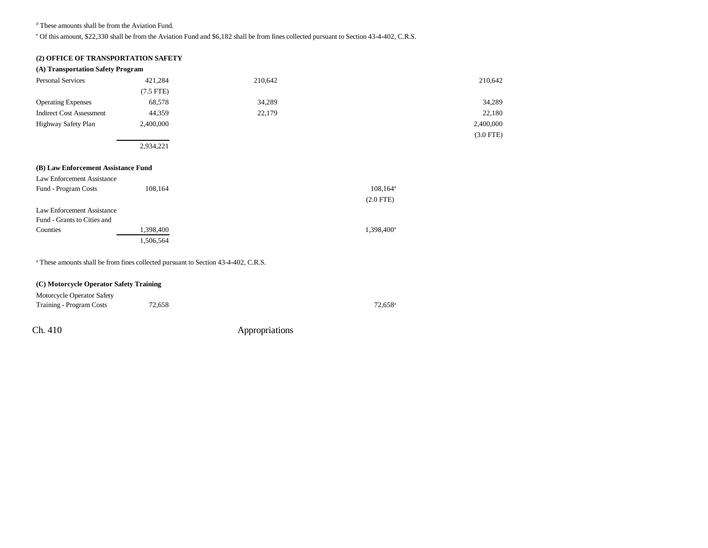d These amounts shall be from the Aviation Fund.

e Of this amount, \$22,330 shall be from the Aviation Fund and \$6,182 shall be from fines collected pursuant to Section 43-4-402, C.R.S.

## **(2) OFFICE OF TRANSPORTATION SAFETY**

| (A) Transportation Safety Program                                                             |             |         |                        |             |
|-----------------------------------------------------------------------------------------------|-------------|---------|------------------------|-------------|
| <b>Personal Services</b>                                                                      | 421,284     | 210,642 |                        | 210,642     |
|                                                                                               | $(7.5$ FTE) |         |                        |             |
| <b>Operating Expenses</b>                                                                     | 68,578      | 34,289  |                        | 34,289      |
| <b>Indirect Cost Assessment</b>                                                               | 44,359      | 22,179  |                        | 22,180      |
| Highway Safety Plan                                                                           | 2,400,000   |         |                        | 2,400,000   |
|                                                                                               |             |         |                        | $(3.0$ FTE) |
|                                                                                               | 2,934,221   |         |                        |             |
|                                                                                               |             |         |                        |             |
| (B) Law Enforcement Assistance Fund                                                           |             |         |                        |             |
| Law Enforcement Assistance                                                                    |             |         |                        |             |
| Fund - Program Costs                                                                          | 108,164     |         | $108, 164^{\rm a}$     |             |
|                                                                                               |             |         | $(2.0$ FTE)            |             |
| Law Enforcement Assistance                                                                    |             |         |                        |             |
| Fund - Grants to Cities and                                                                   |             |         |                        |             |
| Counties                                                                                      | 1,398,400   |         | 1,398,400 <sup>a</sup> |             |
|                                                                                               | 1,506,564   |         |                        |             |
|                                                                                               |             |         |                        |             |
| <sup>a</sup> These amounts shall be from fines collected pursuant to Section 43-4-402, C.R.S. |             |         |                        |             |

## **(C) Motorcycle Operator Safety Training**

| Motorcycle Operator Safety |        |                  |
|----------------------------|--------|------------------|
| Training - Program Costs   | 72,658 | $72.658^{\circ}$ |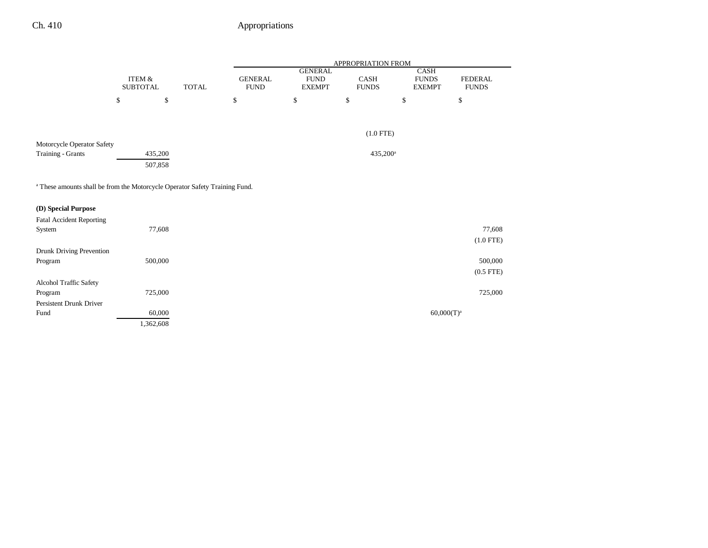|                                                                                        |                           |           |              | <b>APPROPRIATION FROM</b>     |                              |                      |                               |                                |  |
|----------------------------------------------------------------------------------------|---------------------------|-----------|--------------|-------------------------------|------------------------------|----------------------|-------------------------------|--------------------------------|--|
|                                                                                        |                           |           |              |                               | <b>GENERAL</b>               |                      | CASH                          |                                |  |
|                                                                                        | ITEM &<br><b>SUBTOTAL</b> |           | <b>TOTAL</b> | <b>GENERAL</b><br><b>FUND</b> | <b>FUND</b><br><b>EXEMPT</b> | CASH<br><b>FUNDS</b> | <b>FUNDS</b><br><b>EXEMPT</b> | <b>FEDERAL</b><br><b>FUNDS</b> |  |
|                                                                                        |                           |           |              |                               |                              |                      |                               |                                |  |
|                                                                                        | $\mathbb{S}$              | \$        |              | \$                            | $\mathbb{S}$                 | $\mathbb{S}$         | $\mathbb{S}$                  | \$                             |  |
|                                                                                        |                           |           |              |                               |                              |                      |                               |                                |  |
|                                                                                        |                           |           |              |                               |                              |                      |                               |                                |  |
|                                                                                        |                           |           |              |                               |                              | $(1.0$ FTE)          |                               |                                |  |
| Motorcycle Operator Safety                                                             |                           |           |              |                               |                              |                      |                               |                                |  |
| <b>Training - Grants</b>                                                               |                           | 435,200   |              |                               |                              | 435,200 <sup>a</sup> |                               |                                |  |
|                                                                                        |                           | 507,858   |              |                               |                              |                      |                               |                                |  |
|                                                                                        |                           |           |              |                               |                              |                      |                               |                                |  |
| <sup>a</sup> These amounts shall be from the Motorcycle Operator Safety Training Fund. |                           |           |              |                               |                              |                      |                               |                                |  |
|                                                                                        |                           |           |              |                               |                              |                      |                               |                                |  |
| (D) Special Purpose                                                                    |                           |           |              |                               |                              |                      |                               |                                |  |
| <b>Fatal Accident Reporting</b>                                                        |                           |           |              |                               |                              |                      |                               |                                |  |
| System                                                                                 |                           | 77,608    |              |                               |                              |                      |                               | 77,608                         |  |
|                                                                                        |                           |           |              |                               |                              |                      |                               | $(1.0$ FTE)                    |  |
| Drunk Driving Prevention                                                               |                           |           |              |                               |                              |                      |                               |                                |  |
| Program                                                                                |                           | 500,000   |              |                               |                              |                      |                               | 500,000                        |  |
|                                                                                        |                           |           |              |                               |                              |                      |                               | $(0.5$ FTE)                    |  |
| Alcohol Traffic Safety                                                                 |                           |           |              |                               |                              |                      |                               |                                |  |
| Program                                                                                |                           | 725,000   |              |                               |                              |                      |                               | 725,000                        |  |
| Persistent Drunk Driver                                                                |                           |           |              |                               |                              |                      |                               |                                |  |
| Fund                                                                                   |                           | 60,000    |              |                               |                              |                      |                               | $60,000(T)^a$                  |  |
|                                                                                        |                           | 1,362,608 |              |                               |                              |                      |                               |                                |  |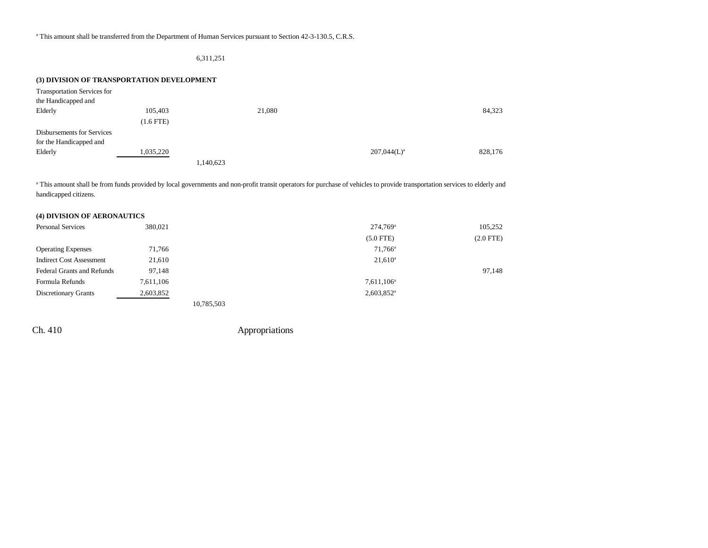#### 6,311,251

#### **(3) DIVISION OF TRANSPORTATION DEVELOPMENT**

| Transportation Services for       |                |           |        |                |         |
|-----------------------------------|----------------|-----------|--------|----------------|---------|
| the Handicapped and               |                |           |        |                |         |
| Elderly                           | 105,403        |           | 21,080 |                | 84,323  |
|                                   | $(1.6$ FTE $)$ |           |        |                |         |
| <b>Disbursements for Services</b> |                |           |        |                |         |
| for the Handicapped and           |                |           |        |                |         |
| Elderly                           | 1,035,220      |           |        | $207,044(L)^a$ | 828,176 |
|                                   |                | 1,140,623 |        |                |         |

<sup>a</sup> This amount shall be from funds provided by local governments and non-profit transit operators for purchase of vehicles to provide transportation services to elderly and handicapped citizens.

### **(4) DIVISION OF AERONAUTICS**

| <b>Personal Services</b>        | 380,021   |            | $274.769$ <sup>a</sup>   | 105,252     |
|---------------------------------|-----------|------------|--------------------------|-------------|
|                                 |           |            | $(5.0$ FTE)              | $(2.0$ FTE) |
| <b>Operating Expenses</b>       | 71.766    |            | $71.766^{\circ}$         |             |
| <b>Indirect Cost Assessment</b> | 21,610    |            | $21,610^a$               |             |
| Federal Grants and Refunds      | 97,148    |            |                          | 97,148      |
| Formula Refunds                 | 7,611,106 |            | $7,611,106^a$            |             |
| <b>Discretionary Grants</b>     | 2,603,852 |            | $2,603,852$ <sup>a</sup> |             |
|                                 |           | 10.795.502 |                          |             |

10,785,503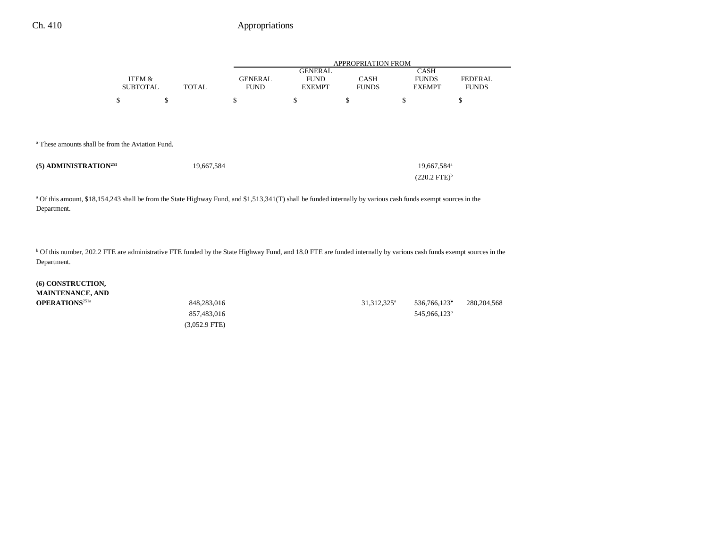## Ch. 410 Appropriations

|                           |              |                               | <b>APPROPRIATION FROM</b>                      |                             |                                              |                                |  |  |
|---------------------------|--------------|-------------------------------|------------------------------------------------|-----------------------------|----------------------------------------------|--------------------------------|--|--|
| ITEM &<br><b>SUBTOTAL</b> | <b>TOTAL</b> | <b>GENERAL</b><br><b>FUND</b> | <b>GENERAL</b><br><b>FUND</b><br><b>EXEMPT</b> | <b>CASH</b><br><b>FUNDS</b> | <b>CASH</b><br><b>FUNDS</b><br><b>EXEMPT</b> | <b>FEDERAL</b><br><b>FUNDS</b> |  |  |
|                           |              |                               |                                                |                             |                                              |                                |  |  |
| Φ                         | ъ            | S                             | \$                                             | P                           | S                                            | Φ                              |  |  |
|                           |              |                               |                                                |                             |                                              |                                |  |  |
|                           |              |                               |                                                |                             |                                              |                                |  |  |

a These amounts shall be from the Aviation Fund.

| $(5)$ ADMINISTRATION <sup>251</sup> | 19,667,584 | 19.667.584 <sup>a</sup> |
|-------------------------------------|------------|-------------------------|
|                                     |            | $(220.2 \text{ FTE})^b$ |

<sup>a</sup> Of this amount, \$18,154,243 shall be from the State Highway Fund, and \$1,513,341(T) shall be funded internally by various cash funds exempt sources in the Department.

<sup>b</sup> Of this number, 202.2 FTE are administrative FTE funded by the State Highway Fund, and 18.0 FTE are funded internally by various cash funds exempt sources in the Department.

**(6) CONSTRUCTION, MAINTENANCE, AND**

(3,052.9 FTE)

**OPERATIONS**<sup>251a</sup> 848,<del>283,016</del> 848,283,016 848,283,016 31,312,325<sup>a</sup> 536,766,123<sup>b</sup> 280,204,568 857,483,016 545,966,123<sup>b</sup>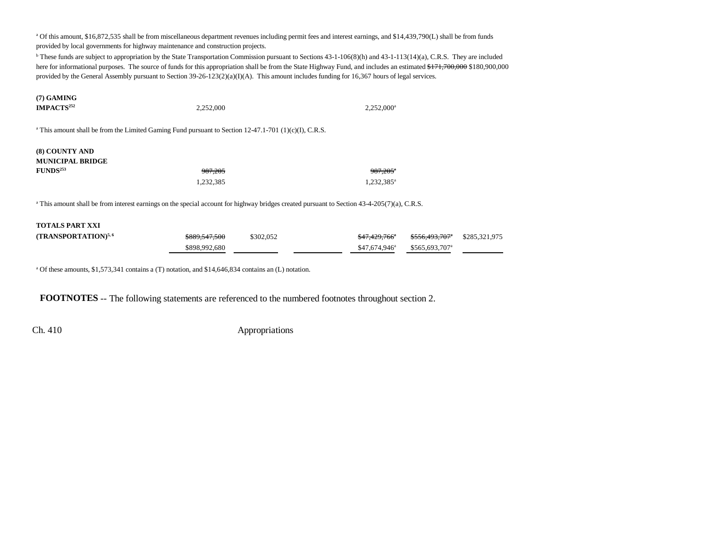a Of this amount, \$16,872,535 shall be from miscellaneous department revenues including permit fees and interest earnings, and \$14,439,790(L) shall be from funds provided by local governments for highway maintenance and construction projects.

<sup>b</sup> These funds are subject to appropriation by the State Transportation Commission pursuant to Sections 43-1-106(8)(h) and 43-1-113(14)(a), C.R.S. They are included here for informational purposes. The source of funds for this appropriation shall be from the State Highway Fund, and includes an estimated \$171,700,000 \$180,900,000 provided by the General Assembly pursuant to Section 39-26-123(2)(a)(I)(A). This amount includes funding for 16,367 hours of legal services.

| $(7)$ GAMING<br><b>IMPACTS</b> <sup>252</sup>                     | 2,252,000                                                                                                        | $2,252,000^{\circ}$                              |  |  |  |  |  |
|-------------------------------------------------------------------|------------------------------------------------------------------------------------------------------------------|--------------------------------------------------|--|--|--|--|--|
|                                                                   | <sup>a</sup> This amount shall be from the Limited Gaming Fund pursuant to Section 12-47.1-701 (1)(c)(I), C.R.S. |                                                  |  |  |  |  |  |
| (8) COUNTY AND<br><b>MUNICIPAL BRIDGE</b><br>FUNDS <sup>253</sup> | <del>987,205</del><br>1,232,385                                                                                  | $987,205$ <sup>a</sup><br>1,232,385 <sup>a</sup> |  |  |  |  |  |

<sup>a</sup> This amount shall be from interest earnings on the special account for highway bridges created pursuant to Section 43-4-205(7)(a), C.R.S.

| <b>TOTALS PART XXI</b>          |                          |           |                          |                            |               |
|---------------------------------|--------------------------|-----------|--------------------------|----------------------------|---------------|
| (TRANSPORTATION) <sup>5,6</sup> | <del>\$889,547,500</del> | \$302,052 | <del>\$47,429,766°</del> | <del>\$556,493,707</del> * | \$285,321,975 |
|                                 | \$898,992,680            |           | $$47.674.946^a$          | \$565,693,707 <sup>a</sup> |               |

<sup>a</sup> Of these amounts, \$1,573,341 contains a (T) notation, and \$14,646,834 contains an (L) notation.

**FOOTNOTES** -- The following statements are referenced to the numbered footnotes throughout section 2.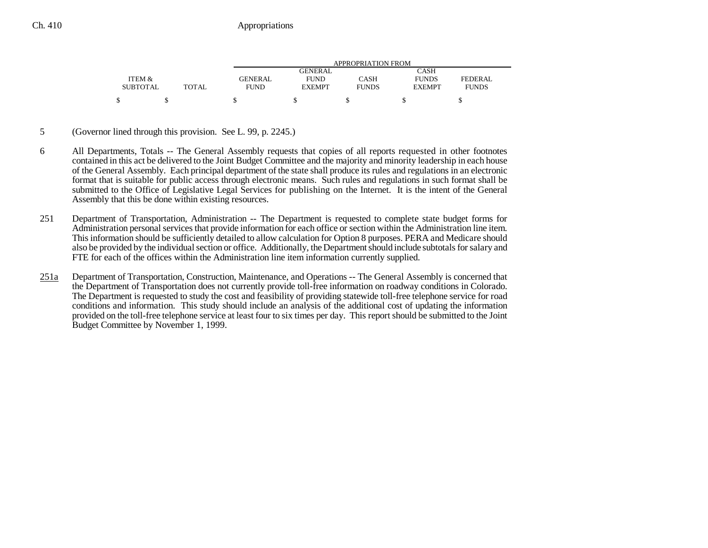|                 |              | APPROPRIATION FROM |               |              |               |                |  |
|-----------------|--------------|--------------------|---------------|--------------|---------------|----------------|--|
|                 |              |                    | GENERAL       |              | CASH          |                |  |
| ITEM &          |              | <b>GENERAL</b>     | <b>FUND</b>   | CASH         | <b>FUNDS</b>  | <b>FEDERAL</b> |  |
| <b>SUBTOTAL</b> | <b>TOTAL</b> | <b>FUND</b>        | <b>EXEMPT</b> | <b>FUNDS</b> | <b>EXEMPT</b> | <b>FUNDS</b>   |  |
|                 |              |                    |               |              |               |                |  |

- 5 (Governor lined through this provision. See L. 99, p. 2245.)
- 6 All Departments, Totals -- The General Assembly requests that copies of all reports requested in other footnotes contained in this act be delivered to the Joint Budget Committee and the majority and minority leadership in each house of the General Assembly. Each principal department of the state shall produce its rules and regulations in an electronic format that is suitable for public access through electronic means. Such rules and regulations in such format shall be submitted to the Office of Legislative Legal Services for publishing on the Internet. It is the intent of the General Assembly that this be done within existing resources.
- 251 Department of Transportation, Administration -- The Department is requested to complete state budget forms for Administration personal services that provide information for each office or section within the Administration line item. This information should be sufficiently detailed to allow calculation for Option 8 purposes. PERA and Medicare should also be provided by the individual section or office. Additionally, the Department should include subtotals for salary and FTE for each of the offices within the Administration line item information currently supplied.
- 251a Department of Transportation, Construction, Maintenance, and Operations -- The General Assembly is concerned that the Department of Transportation does not currently provide toll-free information on roadway conditions in Colorado. The Department is requested to study the cost and feasibility of providing statewide toll-free telephone service for road conditions and information. This study should include an analysis of the additional cost of updating the information provided on the toll-free telephone service at least four to six times per day. This report should be submitted to the Joint Budget Committee by November 1, 1999.